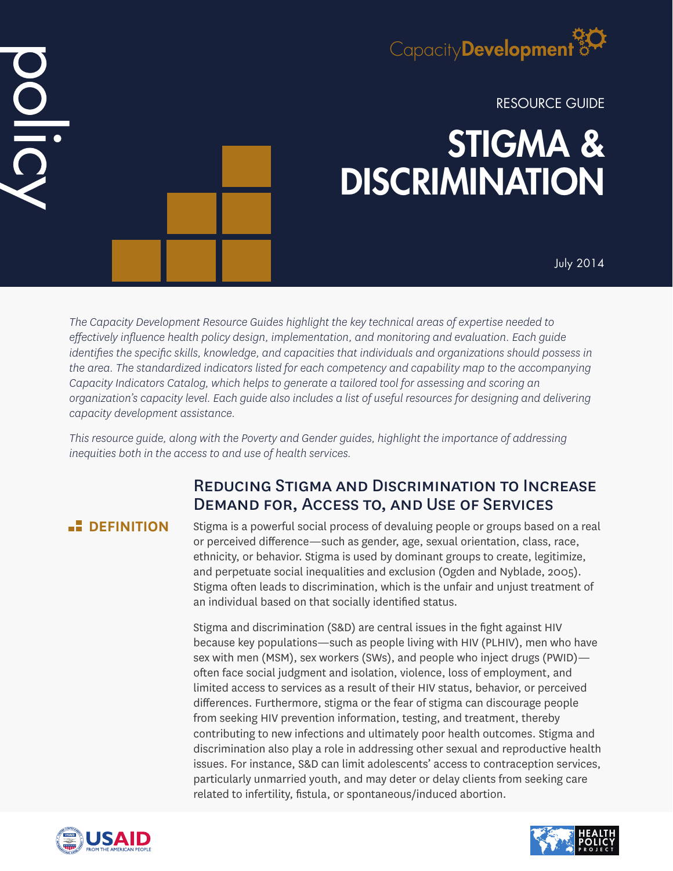

RESOURCE GUIDE

# STIGMA & **DISCRIMINATION**

July 2014

*The Capacity Development Resource Guides highlight the key technical areas of expertise needed to effectively influence health policy design, implementation, and monitoring and evaluation. Each guide identifies the specific skills, knowledge, and capacities that individuals and organizations should possess in the area. The standardized indicators listed for each competency and capability map to the accompanying Capacity Indicators Catalog, which helps to generate a tailored tool for assessing and scoring an organization's capacity level. Each guide also includes a list of useful resources for designing and delivering capacity development assistance.*

*This resource guide, along with the Poverty and Gender guides, highlight the importance of addressing inequities both in the access to and use of health services.*

# Reducing Stigma and Discrimination to Increase Demand for, Access to, and Use of Services

DID

**DEFINITION** Stigma is a powerful social process of devaluing people or groups based on a real or perceived difference—such as gender, age, sexual orientation, class, race, ethnicity, or behavior. Stigma is used by dominant groups to create, legitimize, and perpetuate social inequalities and exclusion (Ogden and Nyblade, 2005). Stigma often leads to discrimination, which is the unfair and unjust treatment of an individual based on that socially identified status.

> Stigma and discrimination (S&D) are central issues in the fight against HIV because key populations—such as people living with HIV (PLHIV), men who have sex with men (MSM), sex workers (SWs), and people who inject drugs (PWID) often face social judgment and isolation, violence, loss of employment, and limited access to services as a result of their HIV status, behavior, or perceived differences. Furthermore, stigma or the fear of stigma can discourage people from seeking HIV prevention information, testing, and treatment, thereby contributing to new infections and ultimately poor health outcomes. Stigma and discrimination also play a role in addressing other sexual and reproductive health issues. For instance, S&D can limit adolescents' access to contraception services, particularly unmarried youth, and may deter or delay clients from seeking care related to infertility, fistula, or spontaneous/induced abortion.



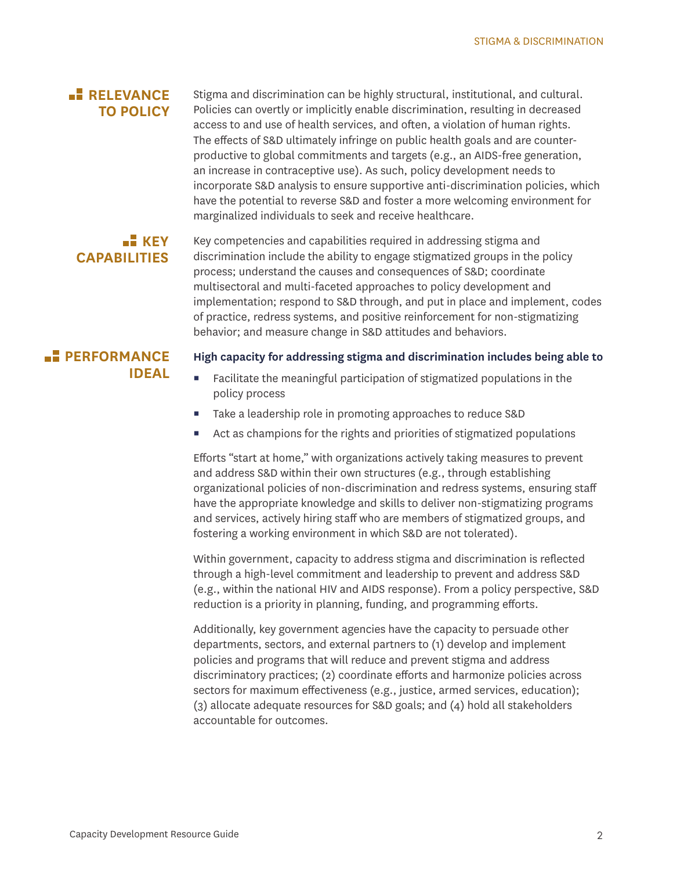## **RELEVANCE TO POLICY**

Stigma and discrimination can be highly structural, institutional, and cultural. Policies can overtly or implicitly enable discrimination, resulting in decreased access to and use of health services, and often, a violation of human rights. The effects of S&D ultimately infringe on public health goals and are counterproductive to global commitments and targets (e.g., an AIDS-free generation, an increase in contraceptive use). As such, policy development needs to incorporate S&D analysis to ensure supportive anti-discrimination policies, which have the potential to reverse S&D and foster a more welcoming environment for marginalized individuals to seek and receive healthcare.

## **KEY CAPABILITIES**

Key competencies and capabilities required in addressing stigma and discrimination include the ability to engage stigmatized groups in the policy process; understand the causes and consequences of S&D; coordinate multisectoral and multi-faceted approaches to policy development and implementation; respond to S&D through, and put in place and implement, codes of practice, redress systems, and positive reinforcement for non-stigmatizing behavior; and measure change in S&D attitudes and behaviors.

## **PERFORMANCE IDEAL**

#### **High capacity for addressing stigma and discrimination includes being able to**

- Facilitate the meaningful participation of stigmatized populations in the policy process
- Take a leadership role in promoting approaches to reduce S&D
- Act as champions for the rights and priorities of stigmatized populations

Efforts "start at home," with organizations actively taking measures to prevent and address S&D within their own structures (e.g., through establishing organizational policies of non-discrimination and redress systems, ensuring staff have the appropriate knowledge and skills to deliver non-stigmatizing programs and services, actively hiring staff who are members of stigmatized groups, and fostering a working environment in which S&D are not tolerated).

Within government, capacity to address stigma and discrimination is reflected through a high-level commitment and leadership to prevent and address S&D (e.g., within the national HIV and AIDS response). From a policy perspective, S&D reduction is a priority in planning, funding, and programming efforts.

Additionally, key government agencies have the capacity to persuade other departments, sectors, and external partners to (1) develop and implement policies and programs that will reduce and prevent stigma and address discriminatory practices; (2) coordinate efforts and harmonize policies across sectors for maximum effectiveness (e.g., justice, armed services, education); (3) allocate adequate resources for S&D goals; and (4) hold all stakeholders accountable for outcomes.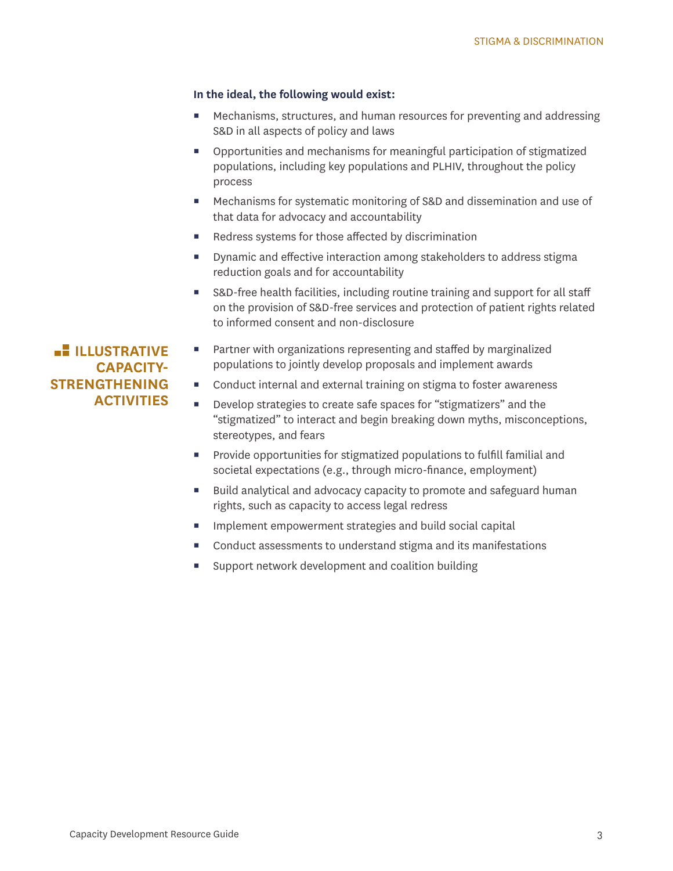#### **In the ideal, the following would exist:**

- Mechanisms, structures, and human resources for preventing and addressing S&D in all aspects of policy and laws
- Opportunities and mechanisms for meaningful participation of stigmatized populations, including key populations and PLHIV, throughout the policy process
- Mechanisms for systematic monitoring of S&D and dissemination and use of that data for advocacy and accountability
- Redress systems for those affected by discrimination
- Dynamic and effective interaction among stakeholders to address stigma reduction goals and for accountability
- S&D-free health facilities, including routine training and support for all staff on the provision of S&D-free services and protection of patient rights related to informed consent and non-disclosure

**Partner with organizations representing and staffed by marginalized** populations to jointly develop proposals and implement awards

- Conduct internal and external training on stigma to foster awareness
- Develop strategies to create safe spaces for "stigmatizers" and the "stigmatized" to interact and begin breaking down myths, misconceptions, stereotypes, and fears
- **Provide opportunities for stigmatized populations to fulfill familial and** societal expectations (e.g., through micro-finance, employment)
- Build analytical and advocacy capacity to promote and safeguard human rights, such as capacity to access legal redress
- Implement empowerment strategies and build social capital
- Conduct assessments to understand stigma and its manifestations
- Support network development and coalition building

**ILLUSTRATIVE CAPACITY-STRENGTHENING ACTIVITIES**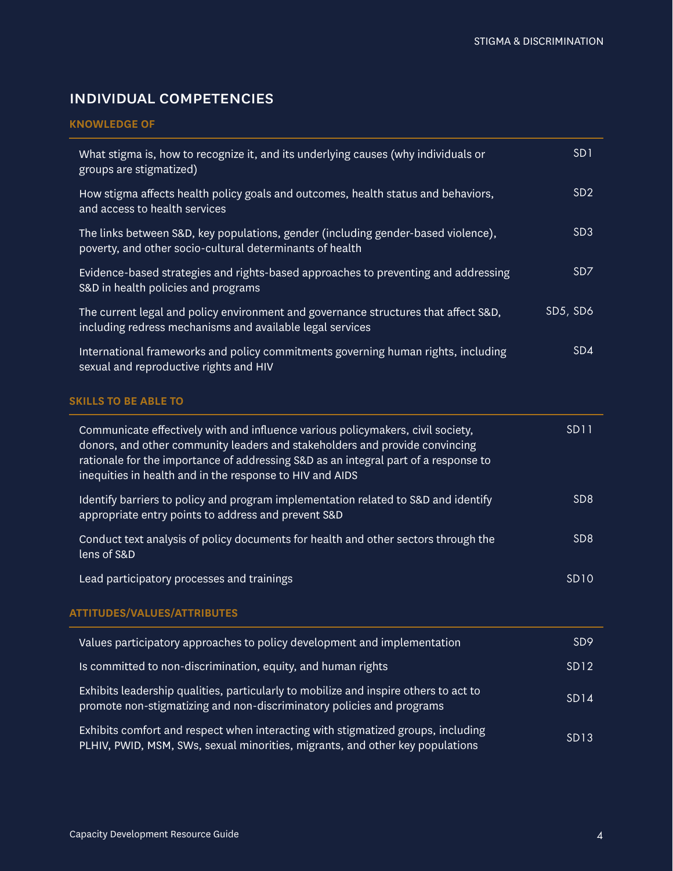## individual competencies

#### **KNOWLEDGE OF**

| What stigma is, how to recognize it, and its underlying causes (why individuals or<br>groups are stigmatized)                                                                                                                                                                                                     | SD <sub>1</sub> |
|-------------------------------------------------------------------------------------------------------------------------------------------------------------------------------------------------------------------------------------------------------------------------------------------------------------------|-----------------|
| How stigma affects health policy goals and outcomes, health status and behaviors,<br>and access to health services                                                                                                                                                                                                | SD <sub>2</sub> |
| The links between S&D, key populations, gender (including gender-based violence),<br>poverty, and other socio-cultural determinants of health                                                                                                                                                                     | SD <sub>3</sub> |
| Evidence-based strategies and rights-based approaches to preventing and addressing<br>S&D in health policies and programs                                                                                                                                                                                         | SD <sub>7</sub> |
| The current legal and policy environment and governance structures that affect S&D,<br>including redress mechanisms and available legal services                                                                                                                                                                  | SD5, SD6        |
| International frameworks and policy commitments governing human rights, including<br>sexual and reproductive rights and HIV                                                                                                                                                                                       | SD4             |
| <b>SKILLS TO BE ABLE TO</b>                                                                                                                                                                                                                                                                                       |                 |
| Communicate effectively with and influence various policymakers, civil society,<br>donors, and other community leaders and stakeholders and provide convincing<br>rationale for the importance of addressing S&D as an integral part of a response to<br>inequities in health and in the response to HIV and AIDS | <b>SD11</b>     |
| Identify barriers to policy and program implementation related to S&D and identify<br>appropriate entry points to address and prevent S&D                                                                                                                                                                         | SD <sub>8</sub> |
| Conduct text analysis of policy documents for health and other sectors through the<br>lens of S&D                                                                                                                                                                                                                 | SD <sub>8</sub> |
| Lead participatory processes and trainings                                                                                                                                                                                                                                                                        | <b>SD10</b>     |
| <b>ATTITUDES/VALUES/ATTRIBUTES</b>                                                                                                                                                                                                                                                                                |                 |
| Values participatory approaches to policy development and implementation                                                                                                                                                                                                                                          | SD <sub>9</sub> |
| Is committed to non-discrimination, equity, and human rights                                                                                                                                                                                                                                                      | <b>SD12</b>     |
| Exhibits leadership qualities, particularly to mobilize and inspire others to act to<br>promote non-stigmatizing and non-discriminatory policies and programs                                                                                                                                                     | <b>SD14</b>     |
| Exhibits comfort and respect when interacting with stigmatized groups, including<br>PLHIV, PWID, MSM, SWs, sexual minorities, migrants, and other key populations                                                                                                                                                 | <b>SD13</b>     |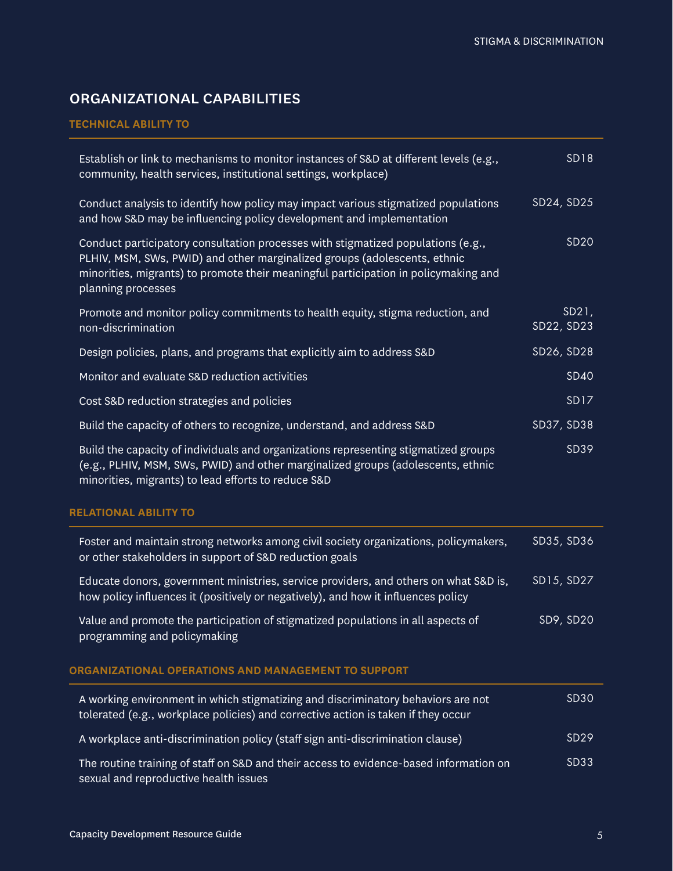# organizational capabilities

#### **TECHNICAL ABILITY TO**

| Establish or link to mechanisms to monitor instances of S&D at different levels (e.g.,<br>community, health services, institutional settings, workplace)                                                                                                                   | <b>SD18</b>         |
|----------------------------------------------------------------------------------------------------------------------------------------------------------------------------------------------------------------------------------------------------------------------------|---------------------|
| Conduct analysis to identify how policy may impact various stigmatized populations<br>and how S&D may be influencing policy development and implementation                                                                                                                 | SD24, SD25          |
| Conduct participatory consultation processes with stigmatized populations (e.g.,<br>PLHIV, MSM, SWs, PWID) and other marginalized groups (adolescents, ethnic<br>minorities, migrants) to promote their meaningful participation in policymaking and<br>planning processes | <b>SD20</b>         |
| Promote and monitor policy commitments to health equity, stigma reduction, and<br>non-discrimination                                                                                                                                                                       | SD21,<br>SD22, SD23 |
| Design policies, plans, and programs that explicitly aim to address S&D                                                                                                                                                                                                    | SD26, SD28          |
| Monitor and evaluate S&D reduction activities                                                                                                                                                                                                                              | <b>SD40</b>         |
| Cost S&D reduction strategies and policies                                                                                                                                                                                                                                 | <b>SD17</b>         |
| Build the capacity of others to recognize, understand, and address S&D                                                                                                                                                                                                     | SD37, SD38          |
| Build the capacity of individuals and organizations representing stigmatized groups<br>(e.g., PLHIV, MSM, SWs, PWID) and other marginalized groups (adolescents, ethnic<br>minorities, migrants) to lead efforts to reduce S&D                                             | SD39                |
| <b>RELATIONAL ABILITY TO</b>                                                                                                                                                                                                                                               |                     |
| Foster and maintain strong networks among civil society organizations, policymakers,<br>or other stakeholders in support of S&D reduction goals                                                                                                                            | SD35, SD36          |
| Educate donors, government ministries, service providers, and others on what S&D is,<br>how policy influences it (positively or negatively), and how it influences policy                                                                                                  | SD15, SD27          |
| Value and promote the participation of stigmatized populations in all aspects of<br>programming and policymaking                                                                                                                                                           | SD9, SD20           |
| ORGANIZATIONAL OPERATIONS AND MANAGEMENT TO SUPPORT                                                                                                                                                                                                                        |                     |
| A working environment in which stigmatizing and discriminatory behaviors are not<br>tolerated (e.g., workplace policies) and corrective action is taken if they occur                                                                                                      | <b>SD30</b>         |
| A workplace anti-discrimination policy (staff sign anti-discrimination clause)                                                                                                                                                                                             | SD29                |
| The routine training of staff on S&D and their access to evidence-based information on<br>sexual and reproductive health issues                                                                                                                                            | SD33                |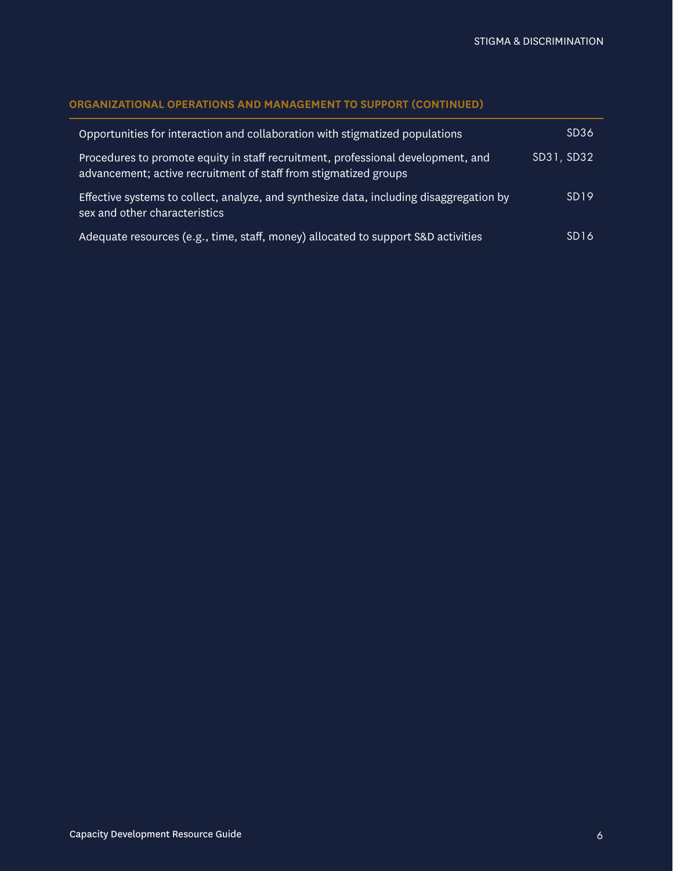## **ORGANIZATIONAL OPERATIONS AND MANAGEMENT TO SUPPORT (CONTINUED)**

| Opportunities for interaction and collaboration with stigmatized populations                                                                         | SD <sub>36</sub> |
|------------------------------------------------------------------------------------------------------------------------------------------------------|------------------|
| Procedures to promote equity in staff recruitment, professional development, and<br>advancement; active recruitment of staff from stigmatized groups | SD31, SD32       |
| Effective systems to collect, analyze, and synthesize data, including disaggregation by<br>sex and other characteristics                             | SD <sub>19</sub> |
| Adequate resources (e.g., time, staff, money) allocated to support S&D activities                                                                    | SD <sub>16</sub> |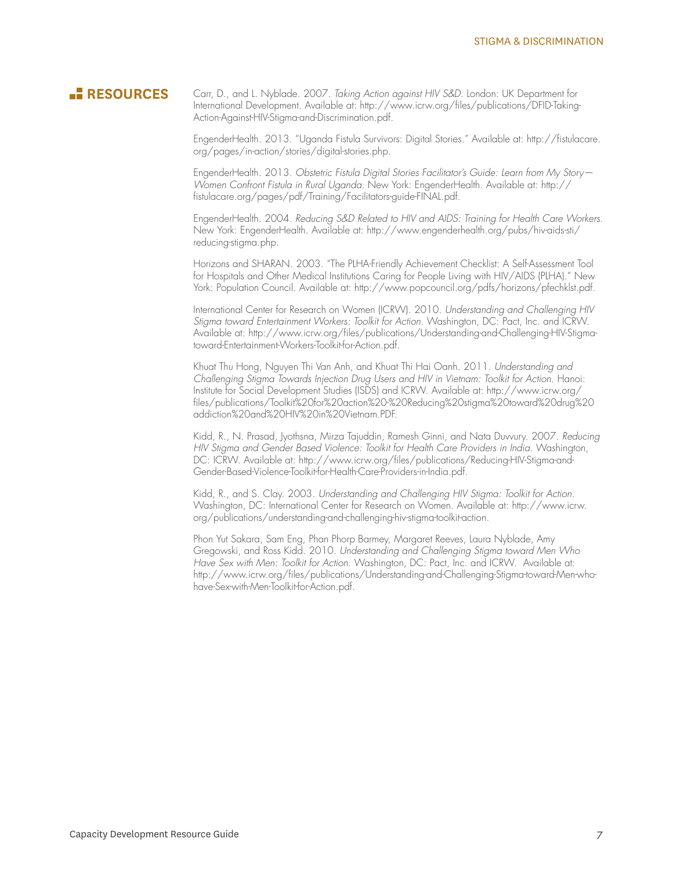**RESOURCES** Carr, D., and L. Nyblade. 2007. *Taking Action against HIV S&D*. London: UK Department for International Development. Available at: [http://www.icrw.org/files/publications/DFID-Taking-](http://www.icrw.org/files/publications/DFID-Taking-Action-Against-HIV-Stigma-and-Discrimination.pdf)[Action-Against-HIV-Stigma-and-Discrimination.pdf.](http://www.icrw.org/files/publications/DFID-Taking-Action-Against-HIV-Stigma-and-Discrimination.pdf)

> EngenderHealth. 2013. "Uganda Fistula Survivors: Digital Stories." Available at: [http://fistulacare.](http://fistulacare.org/pages/in-action/stories/digital-stories.php) [org/pages/in-action/stories/digital-stories.php](http://fistulacare.org/pages/in-action/stories/digital-stories.php).

EngenderHealth. 2013. *Obstetric Fistula Digital Stories Facilitator's Guide: Learn from My Story— Women Confront Fistula in Rural Uganda*. New York: EngenderHealth. Available at: [http://](http://fistulacare.org/pages/pdf/Training/Facilitators-guide-FINAL.pdf) [fistulacare.org/pages/pdf/Training/Facilitators-guide-FINAL.pdf](http://fistulacare.org/pages/pdf/Training/Facilitators-guide-FINAL.pdf).

EngenderHealth. 2004. *Reducing S&D Related to HIV and AIDS: Training for Health Care Workers*. New York: EngenderHealth. Available at: [http://www.engenderhealth.org/pubs/hiv-aids-sti/](http://www.engenderhealth.org/pubs/hiv-aids-sti/reducing-stigma.php) [reducing-stigma.php](http://www.engenderhealth.org/pubs/hiv-aids-sti/reducing-stigma.php).

Horizons and SHARAN. 2003. "The PLHA-Friendly Achievement Checklist: A Self-Assessment Tool for Hospitals and Other Medical Institutions Caring for People Living with HIV/AIDS (PLHA)." New York: Population Council. Available at: [http://www.popcouncil.org/pdfs/horizons/pfechklst.pdf](http://www.popcouncil.org/uploads/pdfs/horizons/pfechklst.pdf).

International Center for Research on Women (ICRW). 2010. *Understanding and Challenging HIV Stigma toward Entertainment Workers: Toolkit for Action.* Washington, DC: Pact, Inc. and ICRW. Available at: [http://www.icrw.org/files/publications/Understanding-and-Challenging-HIV-Stigma](http://www.icrw.org/files/publications/Understanding-and-Challenging-HIV-Stigma-toward-Entertainment-Workers-Toolkit-for-Action.pdf)[toward-Entertainment-Workers-Toolkit-for-Action.pdf](http://www.icrw.org/files/publications/Understanding-and-Challenging-HIV-Stigma-toward-Entertainment-Workers-Toolkit-for-Action.pdf).

Khuat Thu Hong, Nguyen Thi Van Anh, and Khuat Thi Hai Oanh. 2011. *Understanding and Challenging Stigma Towards Injection Drug Users and HIV in Vietnam: Toolkit for Action*. Hanoi: Institute for Social Development Studies (ISDS) and ICRW. Available at: [http://www.icrw.org/](http://www.icrw.org/files/publications/Toolkit%2520for%2520action%2520-%2520Reducing%2520stigma%2520toward%2520drug%2520addiction%2520and%2520HIV%2520in%2520Vietnam.PDF) [files/publications/Toolkit%20for%20action%20-%20Reducing%20stigma%20toward%20drug%20](http://www.icrw.org/files/publications/Toolkit%2520for%2520action%2520-%2520Reducing%2520stigma%2520toward%2520drug%2520addiction%2520and%2520HIV%2520in%2520Vietnam.PDF) [addiction%20and%20HIV%20in%20Vietnam.PDF.](http://www.icrw.org/files/publications/Toolkit%2520for%2520action%2520-%2520Reducing%2520stigma%2520toward%2520drug%2520addiction%2520and%2520HIV%2520in%2520Vietnam.PDF)

Kidd, R., N. Prasad, Jyothsna, Mirza Tajuddin, Ramesh Ginni, and Nata Duvvury. 2007. *Reducing HIV Stigma and Gender Based Violence: Toolkit for Health Care Providers in India*. Washington, DC: ICRW. Available at: [http://www.icrw.org/files/publications/Reducing-HIV-Stigma-and-](http://www.icrw.org/files/publications/Reducing-HIV-Stigma-and-Gender-Based-Violence-Toolkit-for-Health-Care-Providers-in-India.pdf)[Gender-Based-Violence-Toolkit-for-Health-Care-Providers-in-India.pdf](http://www.icrw.org/files/publications/Reducing-HIV-Stigma-and-Gender-Based-Violence-Toolkit-for-Health-Care-Providers-in-India.pdf).

Kidd, R., and S. Clay. 2003. *Understanding and Challenging HIV Stigma: Toolkit for Action.* Washington, DC: International Center for Research on Women. Available at: [http://www.icrw.](http://www.icrw.org/publications/understanding-and-challenging-hiv-stigma-toolkit-action) [org/publications/understanding-and-challenging-hiv-stigma-toolkit-action.](http://www.icrw.org/publications/understanding-and-challenging-hiv-stigma-toolkit-action)

Phon Yut Sakara, Sam Eng, Phan Phorp Barmey, Margaret Reeves, Laura Nyblade, Amy Gregowski, and Ross Kidd. 2010. *Understanding and Challenging Stigma toward Men Who Have Sex with Men: Toolkit for Action*. Washington, DC: Pact, Inc. and ICRW. Available at: [http://www.icrw.org/files/publications/Understanding-and-Challenging-Stigma-toward-Men-who](http://www.icrw.org/files/publications/Understanding-and-Challenging-Stigma-toward-Men-who-have-Sex-with-Men-Toolkit-for-Action.pdf)[have-Sex-with-Men-Toolkit-for-Action.pdf.](http://www.icrw.org/files/publications/Understanding-and-Challenging-Stigma-toward-Men-who-have-Sex-with-Men-Toolkit-for-Action.pdf)